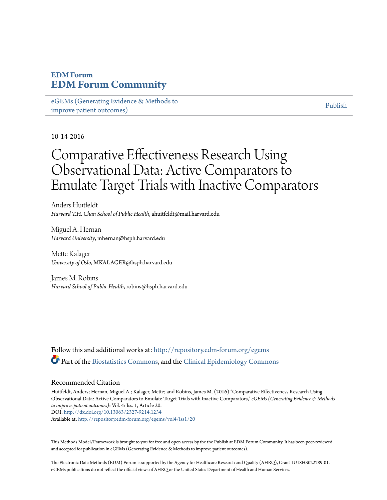# **EDM Forum [EDM Forum Community](http://repository.edm-forum.org?utm_source=repository.edm-forum.org%2Fegems%2Fvol4%2Fiss1%2F20&utm_medium=PDF&utm_campaign=PDFCoverPages)**

[eGEMs \(Generating Evidence & Methods to](http://repository.edm-forum.org/egems?utm_source=repository.edm-forum.org%2Fegems%2Fvol4%2Fiss1%2F20&utm_medium=PDF&utm_campaign=PDFCoverPages) [improve patient outcomes\)](http://repository.edm-forum.org/egems?utm_source=repository.edm-forum.org%2Fegems%2Fvol4%2Fiss1%2F20&utm_medium=PDF&utm_campaign=PDFCoverPages)

[Publish](http://repository.edm-forum.org/publish?utm_source=repository.edm-forum.org%2Fegems%2Fvol4%2Fiss1%2F20&utm_medium=PDF&utm_campaign=PDFCoverPages)

#### 10-14-2016

# Comparative Effectiveness Research Using Observational Data: Active Comparators to Emulate Target Trials with Inactive Comparators

Anders Huitfeldt *Harvard T.H. Chan School of Public Health*, ahuitfeldt@mail.harvard.edu

Miguel A. Hernan *Harvard University*, mhernan@hsph.harvard.edu

Mette Kalager *University of Oslo*, MKALAGER@hsph.harvard.edu

James M. Robins *Harvard School of Public Health*, robins@hsph.harvard.edu

Follow this and additional works at: [http://repository.edm-forum.org/egems](http://repository.edm-forum.org/egems?utm_source=repository.edm-forum.org%2Fegems%2Fvol4%2Fiss1%2F20&utm_medium=PDF&utm_campaign=PDFCoverPages) Part of the [Biostatistics Commons,](http://network.bepress.com/hgg/discipline/210?utm_source=repository.edm-forum.org%2Fegems%2Fvol4%2Fiss1%2F20&utm_medium=PDF&utm_campaign=PDFCoverPages) and the [Clinical Epidemiology Commons](http://network.bepress.com/hgg/discipline/815?utm_source=repository.edm-forum.org%2Fegems%2Fvol4%2Fiss1%2F20&utm_medium=PDF&utm_campaign=PDFCoverPages)

#### Recommended Citation

Huitfeldt, Anders; Hernan, Miguel A.; Kalager, Mette; and Robins, James M. (2016) "Comparative Effectiveness Research Using Observational Data: Active Comparators to Emulate Target Trials with Inactive Comparators," *eGEMs (Generating Evidence & Methods to improve patient outcomes)*: Vol. 4: Iss. 1, Article 20. DOI: <http://dx.doi.org/10.13063/2327-9214.1234> Available at: [http://repository.edm-forum.org/egems/vol4/iss1/20](http://repository.edm-forum.org/egems/vol4/iss1/20?utm_source=repository.edm-forum.org%2Fegems%2Fvol4%2Fiss1%2F20&utm_medium=PDF&utm_campaign=PDFCoverPages)

This Methods Model/Framework is brought to you for free and open access by the the Publish at EDM Forum Community. It has been peer-reviewed and accepted for publication in eGEMs (Generating Evidence & Methods to improve patient outcomes).

The Electronic Data Methods (EDM) Forum is supported by the Agency for Healthcare Research and Quality (AHRQ), Grant 1U18HS022789-01. eGEMs publications do not reflect the official views of AHRQ or the United States Department of Health and Human Services.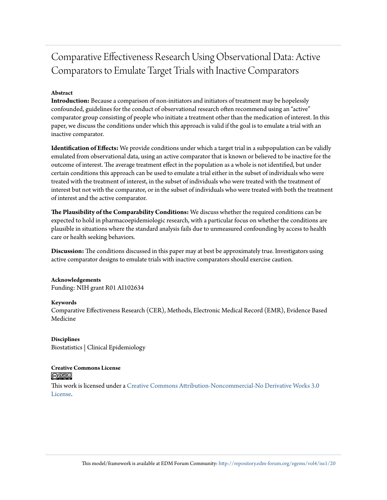# Comparative Effectiveness Research Using Observational Data: Active Comparators to Emulate Target Trials with Inactive Comparators

#### **Abstract**

**Introduction:** Because a comparison of non-initiators and initiators of treatment may be hopelessly confounded, guidelines for the conduct of observational research often recommend using an "active" comparator group consisting of people who initiate a treatment other than the medication of interest. In this paper, we discuss the conditions under which this approach is valid if the goal is to emulate a trial with an inactive comparator.

**Identification of Effects:** We provide conditions under which a target trial in a subpopulation can be validly emulated from observational data, using an active comparator that is known or believed to be inactive for the outcome of interest. The average treatment effect in the population as a whole is not identified, but under certain conditions this approach can be used to emulate a trial either in the subset of individuals who were treated with the treatment of interest, in the subset of individuals who were treated with the treatment of interest but not with the comparator, or in the subset of individuals who were treated with both the treatment of interest and the active comparator.

**The Plausibility of the Comparability Conditions:** We discuss whether the required conditions can be expected to hold in pharmacoepidemiologic research, with a particular focus on whether the conditions are plausible in situations where the standard analysis fails due to unmeasured confounding by access to health care or health seeking behaviors.

**Discussion:** The conditions discussed in this paper may at best be approximately true. Investigators using active comparator designs to emulate trials with inactive comparators should exercise caution.

#### **Acknowledgements**

Funding: NIH grant R01 AI102634

#### **Keywords**

Comparative Effectiveness Research (CER), Methods, Electronic Medical Record (EMR), Evidence Based Medicine

**Disciplines** Biostatistics | Clinical Epidemiology

#### **Creative Commons License** <u>@0®ම</u>

This work is licensed under a [Creative Commons Attribution-Noncommercial-No Derivative Works 3.0](http://creativecommons.org/licenses/by-nc-nd/3.0/) [License.](http://creativecommons.org/licenses/by-nc-nd/3.0/)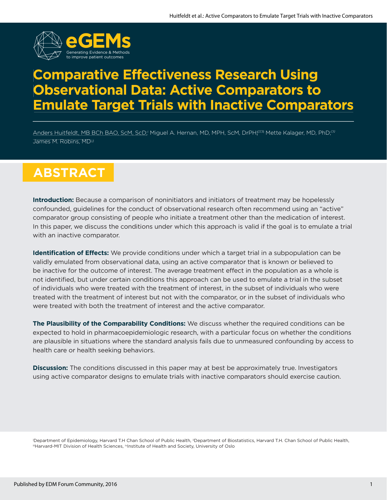

# **Comparative Effectiveness Research Using Observational Data: Active Comparators to Emulate Target Trials with Inactive Comparators**

Anders Huitfeldt, MB BCh BAO, ScM, ScD;| Miguel A. Hernan, MD, MPH, ScM, DrPH;iiiiii Mette Kalager, MD, PhD;iiv James M. Robins, MD<sup>[j]</sup>

# $ABSTRACT$

**Introduction:** Because a comparison of noninitiators and initiators of treatment may be hopelessly confounded, guidelines for the conduct of observational research often recommend using an "active" comparator group consisting of people who initiate a treatment other than the medication of interest. In this paper, we discuss the conditions under which this approach is valid if the goal is to emulate a trial with an inactive comparator.

**Identification of Effects:** We provide conditions under which a target trial in a subpopulation can be validly emulated from observational data, using an active comparator that is known or believed to be inactive for the outcome of interest. The average treatment effect in the population as a whole is not identified, but under certain conditions this approach can be used to emulate a trial in the subset of individuals who were treated with the treatment of interest, in the subset of individuals who were treated with the treatment of interest but not with the comparator, or in the subset of individuals who were treated with both the treatment of interest and the active comparator.

**The Plausibility of the Comparability Conditions:** We discuss whether the required conditions can be expected to hold in pharmacoepidemiologic research, with a particular focus on whether the conditions are plausible in situations where the standard analysis fails due to unmeasured confounding by access to health care or health seeking behaviors.

**Discussion:** The conditions discussed in this paper may at best be approximately true. Investigators using active comparator designs to emulate trials with inactive comparators should exercise caution.

'Department of Epidemiology, Harvard T.H Chan School of Public Health, "Department of Biostatistics, Harvard T.H. Chan School of Public Health,<br>"'Harvard-MIT Division of Health Sciences, "Institute of Health and Society, U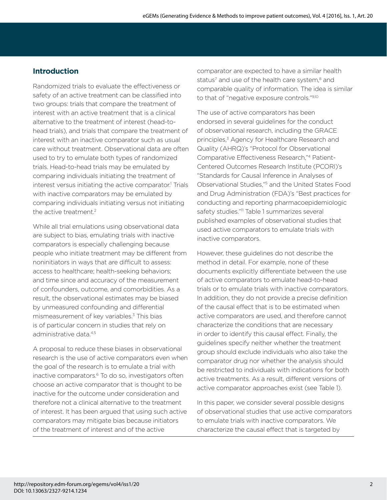# **Introduction**

Randomized trials to evaluate the effectiveness or safety of an active treatment can be classified into two groups: trials that compare the treatment of interest with an active treatment that is a clinical alternative to the treatment of interest (head-tohead trials), and trials that compare the treatment of interest with an inactive comparator such as usual care without treatment. Observational data are often used to try to emulate both types of randomized trials. Head-to-head trials may be emulated by comparing individuals initiating the treatment of interest versus initiating the active comparator.<sup>1</sup> Trials with inactive comparators may be emulated by comparing individuals initiating versus not initiating the active treatment.<sup>2</sup>

While all trial emulations using observational data are subject to bias, emulating trials with inactive comparators is especially challenging because people who initiate treatment may be different from noninitiators in ways that are difficult to assess: access to healthcare; health-seeking behaviors; and time since and accuracy of the measurement of confounders, outcome, and comorbidities. As a result, the observational estimates may be biased by unmeasured confounding and differential mismeasurement of key variables.<sup>3</sup> This bias is of particular concern in studies that rely on administrative data<sup>4,5</sup>

A proposal to reduce these biases in observational research is the use of active comparators even when the goal of the research is to emulate a trial with inactive comparators.<sup>6</sup> To do so, investigators often choose an active comparator that is thought to be inactive for the outcome under consideration and therefore not a clinical alternative to the treatment of interest. It has been argued that using such active comparators may mitigate bias because initiators of the treatment of interest and of the active

comparator are expected to have a similar health status<sup>7</sup> and use of the health care system,<sup>8</sup> and comparable quality of information. The idea is similar to that of "negative exposure controls."9,10

The use of active comparators has been endorsed in several guidelines for the conduct of observational research, including the GRACE principles,<sup>3</sup> Agency for Healthcare Research and Quality (AHRQ)'s "Protocol for Observational Comparative Effectiveness Research,"4 Patient-Centered Outcomes Research Institute (PCORI)'s "Standards for Causal Inference in Analyses of Observational Studies,"5 and the United States Food and Drug Administration (FDA)'s "Best practices for conducting and reporting pharmacoepidemiologic safety studies."<sup>11</sup> Table 1 summarizes several published examples of observational studies that used active comparators to emulate trials with inactive comparators.

However, these guidelines do not describe the method in detail. For example, none of these documents explicitly differentiate between the use of active comparators to emulate head-to-head trials or to emulate trials with inactive comparators. In addition, they do not provide a precise definition of the causal effect that is to be estimated when active comparators are used, and therefore cannot characterize the conditions that are necessary in order to identify this causal effect. Finally, the guidelines specify neither whether the treatment group should exclude individuals who also take the comparator drug nor whether the analysis should be restricted to individuals with indications for both active treatments. As a result, different versions of active comparator approaches exist (see Table 1).

In this paper, we consider several possible designs of observational studies that use active comparators to emulate trials with inactive comparators. We characterize the causal effect that is targeted by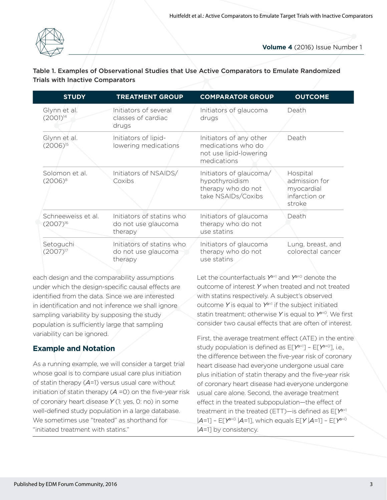

#### Table 1. Examples of Observational Studies that Use Active Comparators to Emulate Randomized Trials with Inactive Comparators

| <b>STUDY</b>                        | <b>TREATMENT GROUP</b>                                      | <b>COMPARATOR GROUP</b>                                                                | <b>OUTCOME</b>                                                     |
|-------------------------------------|-------------------------------------------------------------|----------------------------------------------------------------------------------------|--------------------------------------------------------------------|
| Glynn et al.<br>$(2001)^{14}$       | Initiators of several<br>classes of cardiac<br>drugs        | Initiators of glaucoma<br>drugs                                                        | Death                                                              |
| Glynn et al.<br>$(2006)^{15}$       | Initiators of lipid-<br>lowering medications                | Initiators of any other<br>medications who do<br>not use lipid-lowering<br>medications | Death                                                              |
| Solomon et al.<br>$(2006)^8$        | Initiators of NSAIDS/<br>Coxibs                             | Initiators of glaucoma/<br>hypothyroidism<br>therapy who do not<br>take NSAIDs/Coxibs  | Hospital<br>admission for<br>myocardial<br>infarction or<br>stroke |
| Schneeweiss et al.<br>$(2007)^{16}$ | Initiators of statins who<br>do not use glaucoma<br>therapy | Initiators of glaucoma<br>therapy who do not<br>use statins                            | Death                                                              |
| Setoguchi<br>$(2007)^{17}$          | Initiators of statins who<br>do not use glaucoma<br>therapy | Initiators of glaucoma<br>therapy who do not<br>use statins                            | Lung, breast, and<br>colorectal cancer                             |

each design and the comparability assumptions under which the design-specific causal effects are identified from the data. Since we are interested in identification and not inference we shall ignore sampling variability by supposing the study population is sufficiently large that sampling variability can be ignored.

# **Example and Notation**

As a running example, we will consider a target trial whose goal is to compare usual care plus initiation of statin therapy (*A*=1) versus usual care without initiation of statin therapy (*A* =0) on the five-year risk of coronary heart disease *Y* (1: yes, 0: no) in some well-defined study population in a large database. We sometimes use "treated" as shorthand for "initiated treatment with statins."

Let the counterfactuals *Ya*=1 and *Ya*=0 denote the outcome of interest *Y* when treated and not treated with statins respectively. A subject's observed outcome *Y* is equal to *Ya*=1 if the subject initiated statin treatment; otherwise *Y* is equal to *Ya*=0. We first consider two causal effects that are often of interest.

First, the average treatment effect (ATE) in the entire study population is defined as E[*Ya*=1] – E[*Ya*=0], i.e., the difference between the five-year risk of coronary heart disease had everyone undergone usual care plus initiation of statin therapy and the five-year risk of coronary heart disease had everyone undergone usual care alone. Second, the average treatment effect in the treated subpopulation—the effect of treatment in the treated (ETT)—is defined as E[*Ya*=1 |*A*=1] – E[*Ya*=0 |*A*=1], which equals E[*Y* |*A*=1] – E[*Ya*=0 |*A*=1] by consistency.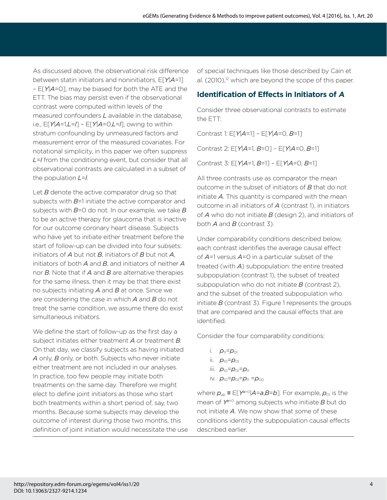As discussed above, the observational risk difference between statin initiators and noninitiators, E[*Y*|*A*=1] – E[*Y*|*A*=0], may be biased for both the ATE and the ETT. The bias may persist even if the observational contrast were computed within levels of the measured confounders *L* available in the database, i.e., E[*Y*|*A*=1,*L*=*l*] – E[*Y*|*A*=0,*L*=*l*], owing to within stratum confounding by unmeasured factors and measurement error of the measured covariates. For notational simplicity, in this paper we often suppress *L*=*l* from the conditioning event, but consider that all observational contrasts are calculated in a subset of the population *L*=*l*.

Let *B* denote the active comparator drug so that subjects with  $B=1$  initiate the active comparator and subjects with *B*=0 do not. In our example, we take *B* to be an active therapy for glaucoma that is inactive for our outcome coronary heart disease. Subjects who have yet to initiate either treatment before the start of follow-up can be divided into four subsets: initiators of *A* but not *B*, initiators of *B* but not *A*, initiators of both *A* and *B*, and initiators of neither *A* nor *B*. Note that if *A* and *B* are alternative therapies for the same illness, then it may be that there exist no subjects initiating *A* and *B* at once. Since we are considering the case in which *A* and *B* do not treat the same condition, we assume there do exist simultaneous initiators.

We define the start of follow-up as the first day a subject initiates either treatment *A* or treatment *B*. On that day, we classify subjects as having initiated *A* only, *B* only, or both. Subjects who never initiate either treatment are not included in our analyses. In practice, too few people may initiate both treatments on the same day. Therefore we might elect to define joint initiators as those who start both treatments within a short period of, say, two months. Because some subjects may develop the outcome of interest during those two months, this definition of joint initiation would necessitate the use of special techniques like those described by Cain et al.  $(2010)$ ,<sup>12</sup> which are beyond the scope of this paper.

# **Identification of Effects in Initiators of A**

Consider three observational contrasts to estimate the ETT:

Contrast 1: E[*Y*|*A*=1] – E[*Y*|*A*=0, *B*=1]

Contrast 2: E[*Y*|*A*=1, *B*=0] – E[*Y*|*A*=0, *B*=1]

Contrast 3: E[*Y*|*A*=1, *B*=1] – E[*Y*|*A*=0, *B*=1]

All three contrasts use as comparator the mean outcome in the subset of initiators of *B* that do not initiate *A*. This quantity is compared with the mean outcome in all initiators of *A* (contrast 1), in initiators of *A* who do not initiate *B* (design 2), and initiators of both *A* and *B* (contrast 3).

Under comparability conditions described below, each contrast identifies the average causal effect of *A*=1 versus *A*=0 in a particular subset of the treated (with *A*) subpopulation: the entire treated subpopulation (contrast 1), the subset of treated subpopulation who do not initiate *B* (contrast 2), and the subset of the treated subpopulation who initiate *B* (contrast 3). Figure 1 represents the groups that are compared and the causal effects that are identified.

Consider the four comparability conditions:

- i.  $p_{11}=p_{01}$
- ii.  $p_{10}=p_{01}$
- iii.  $p_{10}=p_{01}=p_{11}$
- iv. *p*10=*p*01=*p*11 =*p*<sup>00</sup>

where  $p_{ab} \equiv E[Y^{a=0} | A=a, B=b]$ . For example,  $p_{01}$  is the mean of *Ya*=0 among subjects who initiate *B* but do not initiate *A*. We now show that some of these conditions identity the subpopulation causal effects described earlier.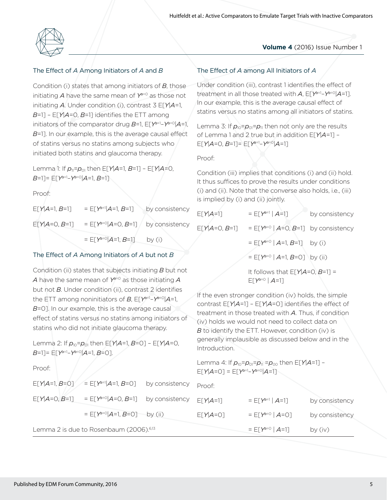

#### The Effect of *A* Among Initiators of *A* and *B*

Condition (i) states that among initiators of *B*, those initiating *A* have the same mean of *Ya*=0 as those not initiating *A*. Under condition (i), contrast 3 E[*Y*|*A*=1, *B*=1] – E[*Y*|*A*=0, *B*=1] identifies the ETT among initiators of the comparator drug *B*=1, E[*Ya*=1–*Ya*=0|*A*=1, *B*=1]. In our example, this is the average causal effect of statins versus no statins among subjects who initiated both statins and glaucoma therapy.

Lemma 1: If *p*11=*p*01 then E[*Y*|*A*=1, *B*=1] – E[*Y*|*A*=0, *B*=1]= E[*Ya*=1–*Ya*=0|*A*=1, *B*=1]

Proof:

| $E[Y A=1, B=1]$ | = $E[Y^{a=1} A=1, B=1]$ | by consistency |
|-----------------|-------------------------|----------------|
| $E[Y A=0, B=1]$ | = $E[Y^{a=0} A=0, B=1]$ | by consistency |
|                 | = $E[Y^{a=0} A=1, B=1]$ | by $(i)$       |

#### The Effect of *A* Among Initiators of *A* but not *B*

Condition (ii) states that subjects initiating *B* but not *A* have the same mean of *Ya*=0 as those initiating *A* but not *B*. Under condition (ii), contrast 2 identifies the ETT among noninitiators of *B*, E[*Ya*=1–*Ya*=0|*A*=1, *B*=0]. In our example, this is the average causal effect of statins versus no statins among initiators of statins who did not initiate glaucoma therapy.

Lemma 2: If *p*10=*p*01 then E[*Y*|*A*=1, *B*=0] – E[*Y*|*A*=0, *B*=1]= E[*Ya*=1–*Ya*=0|*A*=1, *B*=0].

Proof:

|  |  |  |  |  | The Effect of A among All Initiators of A |  |
|--|--|--|--|--|-------------------------------------------|--|
|--|--|--|--|--|-------------------------------------------|--|

Under condition (iii), contrast 1 identifies the effect of treatment in all those treated with *A*, E[*Ya*=1–*Ya*=0|*A*=1]. In our example, this is the average causal effect of statins versus no statins among all initiators of statins.

Lemma 3: If  $p_{10}=p_{01}=p_{11}$  then not only are the results of Lemma 1 and 2 true but in addition E[*Y*|*A*=1] – E[*Y*|*A*=0, *B*=1]= E[*Ya*=1–*Ya*=0|*A*=1]

Proof:

Condition (iii) implies that conditions (i) and (ii) hold. It thus suffices to prove the results under conditions (i) and (ii). Note that the converse also holds, i.e., (iii) is implied by (i) and (ii) jointly.

| $E[Y A=1]$      | $= E[Y^{a-1}   A=1]$                                    | by consistency |
|-----------------|---------------------------------------------------------|----------------|
| $E[Y A=0, B=1]$ | = $E[Y^{a=0}   A=0, B=1]$ by consistency                |                |
|                 | $= E[Y^{a=0}   A=1, B=1]$ by (i)                        |                |
|                 | = $E[Y^{a=0}   A=1, B=0]$ by (ii)                       |                |
|                 | It follows that $E[Y A=0, B=1]$ =<br>$E[Y^{a=0}   A=1]$ |                |

If the even stronger condition (iv) holds, the simple contrast E[*Y*|*A*=1] – E[*Y*|*A*=0] identifies the effect of treatment in those treated with *A*. Thus, if condition (iv) holds we would not need to collect data on *B* to identify the ETT. However, condition (iv) is generally implausible as discussed below and in the Introduction.

Lemma 4: If  $p_{10}=p_{01}=p_{11}=p_{00}$  then E[Y|A=1] –  $E[Y|A=0] = E[Y^{a=1}-Y^{a=0}|A=1]$ 

|                                                     | $E[Y A=1, B=0]$ = $E[Y^{a=1} A=1, B=0]$ by consistency $P_{\text{root}}$ . |  |            |                      |                |
|-----------------------------------------------------|----------------------------------------------------------------------------|--|------------|----------------------|----------------|
|                                                     | $E[Y A=0, B=1]$ = $E[Y^{a=0} A=0, B=1]$ by consistency $E[Y A=1]$          |  |            | $= E[Y^{a=1}   A=1]$ | by consistency |
|                                                     | = $E[Y^{a=0} A=1, B=0]$ by (ii)                                            |  | $E[Y A=0]$ | $= E[Y^{a=0}   A=0]$ | by consistency |
| Lemma 2 is due to Rosenbaum (2006). <sup>6,13</sup> |                                                                            |  |            | $= E[Y^{a=0}   A=1]$ | by $(iv)$      |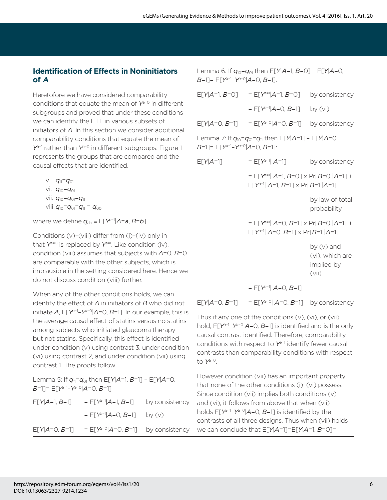## **Identification of Effects in Noninitiators RIA**

Heretofore we have considered comparability conditions that equate the mean of *Ya*=0 in different subgroups and proved that under these conditions we can identify the ETT in various subsets of initiators of *A*. In this section we consider additional comparability conditions that equate the mean of *Ya*=1 rather than *Ya*=0 in different subgroups. Figure 1 represents the groups that are compared and the causal effects that are identified.

v. *q*11=*q*<sup>01</sup> vi. *q*10=*q*<sup>01</sup> vii. *q*10=*q*01=*q*<sup>11</sup> viii.  $q_{10}=q_{01}=q_{11}=q_{00}$ 

where we define  $q_{ab} \equiv E[Y^{a-1}|A=a, B=b]$ 

Conditions (v)–(viii) differ from (i)–(iv) only in that  $Y^{\alpha=0}$  is replaced by  $Y^{\alpha=1}$ . Like condition (iv), condition (viii) assumes that subjects with *A*=0, *B*=0 are comparable with the other subjects, which is implausible in the setting considered here. Hence we do not discuss condition (viii) further.

When any of the other conditions holds, we can identify the effect of *A* in initiators of *B* who did not initiate *A*, E[*Ya*=1–*Ya*=0|*A*=0, *B*=1]. In our example, this is the average causal effect of statins versus no statins among subjects who initiated glaucoma therapy but not statins. Specifically, this effect is identified under condition (v) using contrast 3, under condition (vi) using contrast 2, and under condition (vii) using contrast 1. The proofs follow.

Lemma 5: If  $q_{11}=q_{01}$  then  $E[Y|A=1, B=1]$  –  $E[Y|A=0, A=1]$ *B*=1]= E[*Ya*=1–*Ya*=0|*A*=0, *B*=1] E[*Y*| $A$ =1,  $B$ =1] = E[*Y*<sup>a=1</sup>| $A$ =1,  $B$ =1] by consistency  $=$   $E[Y^{a=1} | A=0, B=1]$  by (y) E[*Y*| $A=0$ ,  $B=1$ ] = E[*Y*<sup> $a=0$ </sup>| $A=0$ ,  $B=1$ ] by consistency

Lemma 6: If *q*10=*q*01 then E[*Y*|*A*=1, *B*=0] – E[*Y*|*A*=0, *B*=1]= E[*Ya*=1–*Ya*=0|*A*=0, *B*=1]:

| $E[Y A=1, B=0]$                                        | = $E[Y^{a=1} A=1, B=0]$                                                                        | by consistency                                       |  |
|--------------------------------------------------------|------------------------------------------------------------------------------------------------|------------------------------------------------------|--|
|                                                        | = $E[Y^{a=1} A=0, B=1]$                                                                        | by $(vi)$                                            |  |
|                                                        | $E[Y A=0, B=1]$ = $E[Y^{a=0} A=0, B=1]$                                                        | by consistency                                       |  |
| B=1]= E[Y <sup>a=1</sup> -Y <sup>a=0</sup>  A=0, B=1]: | Lemma 7: If $q_{10} = q_{01} = q_{11}$ then E[Y A=1] - E[Y A=0,                                |                                                      |  |
| $E[Y A=1]$                                             | = $E[Y^{a=1} A=1]$                                                                             | by consistency                                       |  |
|                                                        | = $E[Y^{a=1}  A=1, B=0] \times Pr[B=0   A=1] +$<br>$E[Y^{a=1}  A=1, B=1] \times Pr[B=1   A=1]$ |                                                      |  |
|                                                        |                                                                                                | by law of total<br>probability                       |  |
|                                                        | = $E[Y^{a=1}  A=0, B=1] \times Pr[B=0   A=1] +$<br>$E[Y^{a=1}  A=0, B=1] \times Pr[B=1   A=1]$ |                                                      |  |
|                                                        |                                                                                                | by (v) and<br>(vi), which are<br>implied by<br>(vii) |  |
|                                                        | $=$ $E[Y^{a=1}]$ $A=$ $O, B=$ $1]$                                                             |                                                      |  |

 $E[Y|A=0, B=1]$  =  $E[Y^{a=0}|A=0, B=1]$  by consistency

Thus if any one of the conditions (v), (vi), or (vii) hold, E[*Ya*=1–*Ya*=0|*A*=0, *B*=1] is identified and is the only causal contrast identified. Therefore, comparability conditions with respect to *Ya*=1 identify fewer causal contrasts than comparability conditions with respect to *Ya*=0.

However condition (vii) has an important property that none of the other conditions (i)–(vi) possess. Since condition (vii) implies both conditions (v) and (vi), it follows from above that when (vii) holds E[*Ya*=1–*Ya*=0|*A*=0, *B*=1] is identified by the contrasts of all three designs. Thus when (vii) holds we can conclude that E[*Y*|*A*=1]=E[*Y*|*A*=1, *B*=0]=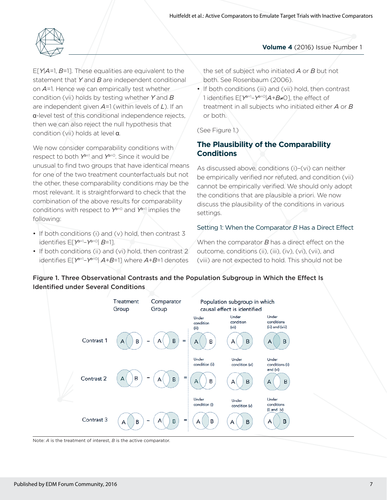

E[*Y*|*A*=1, *B*=1]. These equalities are equivalent to the statement that *Y* and *B* are independent conditional on *A*=1. Hence we can empirically test whether condition (vii) holds by testing whether *Y* and *B* are independent given *A*=1 (within levels of *L*). If an ˞-level test of this conditional independence rejects, then we can also reject the null hypothesis that condition (vii) holds at level  $\alpha$ .

We now consider comparability conditions with respect to both *Ya*=1 and *Ya*=0. Since it would be unusual to find two groups that have identical means for one of the two treatment counterfactuals but not the other, these comparability conditions may be the most relevant. It is straightforward to check that the combination of the above results for comparability conditions with respect to *Ya*=0 and *Ya*=1 implies the following:

- If both conditions (i) and (v) hold, then contrast 3 identifies E[*Ya*=1–*Ya*=0| *B*=1].
- If both conditions (ii) and (vi) hold, then contrast 2 identifies E[*Ya*=1–*Ya*=0| *A*+*B*=1] where *A*+*B*=1 denotes

the set of subject who initiated *A* or *B* but not both. See Rosenbaum (2006).

• If both conditions (iii) and (vii) hold, then contrast 1 identifies E[*Ya*=1–*Ya*=0|*A*+*B*&0], the effect of treatment in all subjects who initiated either *A* or *B* or both.

(See Figure 1.)

# **The Plausibility of the Comparability Conditions**

As discussed above, conditions (i)–(vi) can neither be empirically verified nor refuted, and condition (vii) cannot be empirically verified. We should only adopt the conditions that are plausible a priori. We now discuss the plausibility of the conditions in various settings.

#### Setting 1: When the Comparator *B* Has a Direct Effect

When the comparator *B* has a direct effect on the outcome, conditions (ii), (iii), (iv), (vi), (vii), and (viii) are not expected to hold. This should not be



Figure 1. Three Observational Contrasts and the Population Subgroup in Which the Effect Is Identified under Several Conditions

Note: *A* is the treatment of interest, *B* is the active comparator.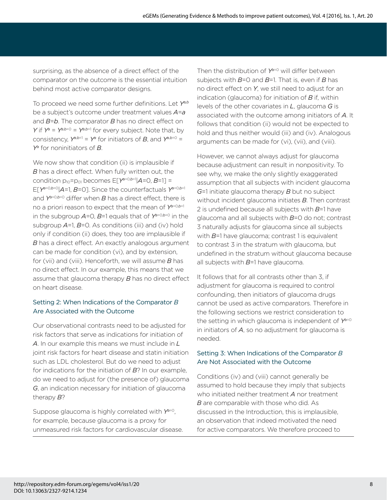surprising, as the absence of a direct effect of the comparator on the outcome is the essential intuition behind most active comparator designs.

To proceed we need some further definitions. Let *Ya,b* be a subject's outcome under treatment values *A*=*a* and *B*=*b*. The comparator *B* has no direct effect on *Y* if  $Y^a = Y^{a,b=0} = Y^{a,b=1}$  for every subject. Note that, by consistency,  $Y^{a,b=1} = Y^a$  for initiators of *B*, and  $Y^{a,b=0} = Y^a$ *Ya* for noninitiators of *B*.

We now show that condition (ii) is implausible if *B* has a direct effect. When fully written out, the condition  $p_{10} = p_{01}$  becomes  $E[Y^{a=0,b=1} | A=0, B=1] =$ E[*Ya*=0,*b*=0|*A*=1, *B*=0]. Since the counterfactuals *Ya*=0,*b*=1 and  $Y^{\alpha=0,b=0}$  differ when *B* has a direct effect, there is no a priori reason to expect that the mean of *Ya*=0,*b*=1 in the subgroup  $A=0$ ,  $B=1$  equals that of  $Y^{a=0,b=0}$  in the subgroup *A*=1, *B*=0. As conditions (iii) and (iv) hold only if condition (ii) does, they too are implausible if *B* has a direct effect. An exactly analogous argument can be made for condition (vi), and by extension, for (vii) and (viii). Henceforth, we will assume *B* has no direct effect. In our example, this means that we assume that glaucoma therapy *B* has no direct effect on heart disease.

### Setting 2: When Indications of the Comparator *B* Are Associated with the Outcome

Our observational contrasts need to be adjusted for risk factors that serve as indications for initiation of *A*. In our example this means we must include in *L* joint risk factors for heart disease and statin initiation such as LDL cholesterol. But do we need to adjust for indications for the initiation of *B*? In our example, do we need to adjust for (the presence of) glaucoma *G*, an indication necessary for initiation of glaucoma therapy *B*?

Suppose glaucoma is highly correlated with *Ya*=0, for example, because glaucoma is a proxy for unmeasured risk factors for cardiovascular disease. Then the distribution of *Ya*=0 will differ between subjects with *B*=0 and *B*=1. That is, even if *B* has no direct effect on *Y*, we still need to adjust for an indication (glaucoma) for initiation of *B* if, within levels of the other covariates in *L*, glaucoma *G* is associated with the outcome among initiators of *A*. It follows that condition (ii) would not be expected to hold and thus neither would (iii) and (iv). Analogous arguments can be made for (vi), (vii), and (viii).

However, we cannot always adjust for glaucoma because adjustment can result in nonpositivity. To see why, we make the only slightly exaggerated assumption that all subjects with incident glaucoma *G*=1 initiate glaucoma therapy *B* but no subject without incident glaucoma initiates *B*. Then contrast 2 is undefined because all subjects with *B*=1 have glaucoma and all subjects with *B*=0 do not; contrast 3 naturally adjusts for glaucoma since all subjects with *B*=1 have glaucoma; contrast 1 is equivalent to contrast 3 in the stratum with glaucoma, but undefined in the stratum without glaucoma because all subjects with *B*=1 have glaucoma.

It follows that for all contrasts other than 3, if adjustment for glaucoma is required to control confounding, then initiators of glaucoma drugs cannot be used as active comparators. Therefore in the following sections we restrict consideration to the setting in which glaucoma is independent of *Ya*=0 in initiators of *A*, so no adjustment for glaucoma is needed.

#### Setting 3: When Indications of the Comparator *B* Are Not Associated with the Outcome

Conditions (iv) and (viii) cannot generally be assumed to hold because they imply that subjects who initiated neither treatment *A* nor treatment *B* are comparable with those who did. As discussed in the Introduction, this is implausible, an observation that indeed motivated the need for active comparators. We therefore proceed to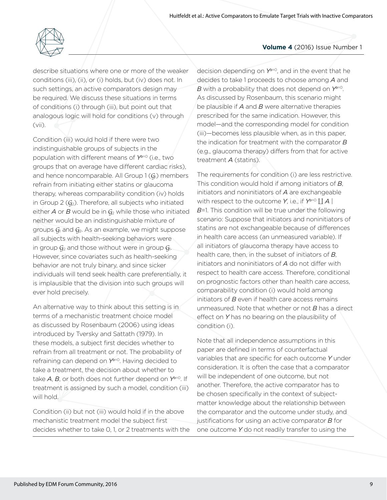

describe situations where one or more of the weaker conditions (iii), (ii), or (i) holds, but (iv) does not. In such settings, an active comparators design may be required. We discuss these situations in terms of conditions (i) through (iii), but point out that analogous logic will hold for conditions (v) through (vii).

Condition (iii) would hold if there were two indistinguishable groups of subjects in the population with different means of *Ya*=0 (i.e., two groups that on average have different cardiac risks), and hence noncomparable. All Group  $1(G<sub>1</sub>)$  members refrain from initiating either statins or glaucoma therapy, whereas comparability condition (iv) holds in Group 2  $(G<sub>2</sub>)$ . Therefore, all subjects who initiated either  $A$  or  $B$  would be in  $G_2$  while those who initiated neither would be an indistinguishable mixture of groups  $G_1$  and  $G_2$ . As an example, we might suppose all subjects with health-seeking behaviors were in group  $G_2$  and those without were in group  $G_1$ . However, since covariates such as health-seeking behavior are not truly binary, and since sicker individuals will tend seek health care preferentially, it is implausible that the division into such groups will ever hold precisely.

An alternative way to think about this setting is in terms of a mechanistic treatment choice model as discussed by Rosenbaum (2006) using ideas introduced by Tversky and Sattath (1979). In these models, a subject first decides whether to refrain from all treatment or not. The probability of refraining can depend on *Ya*=0. Having decided to take a treatment, the decision about whether to take *A*, *B*, or both does not further depend on *Ya*=0. If treatment is assigned by such a model, condition (iii) will hold.

Condition (ii) but not (iii) would hold if in the above mechanistic treatment model the subject first decides whether to take 0, 1, or 2 treatments with the

#### **Volume 4** (2016) Issue Number 1

decision depending on *Ya*=0, and in the event that he decides to take 1 proceeds to choose among *A* and *B* with a probability that does not depend on *Ya*=0. As discussed by Rosenbaum, this scenario might be plausible if *A* and *B* were alternative therapies prescribed for the same indication. However, this model—and the corresponding model for condition (iii)—becomes less plausible when, as in this paper, the indication for treatment with the comparator *B* (e.g., glaucoma therapy) differs from that for active treatment *A* (statins).

The requirements for condition (i) are less restrictive. This condition would hold if among initiators of *B*, initiators and noninitiators of *A* are exchangeable with respect to the outcome  $Y$ , i.e., if  $Y^{a=0} \coprod A \mid$ *B*=1. This condition will be true under the following scenario: Suppose that initiators and noninitiators of statins are not exchangeable because of differences in health care access (an unmeasured variable). If all initiators of glaucoma therapy have access to health care, then, in the subset of initiators of *B*, initiators and noninitiators of *A* do not differ with respect to health care access. Therefore, conditional on prognostic factors other than health care access, comparability condition (i) would hold among initiators of *B* even if health care access remains unmeasured. Note that whether or not *B* has a direct effect on *Y* has no bearing on the plausibility of condition (i).

Note that all independence assumptions in this paper are defined in terms of counterfactual variables that are specific for each outcome *Y* under consideration. It is often the case that a comparator will be independent of one outcome, but not another. Therefore, the active comparator has to be chosen specifically in the context of subjectmatter knowledge about the relationship between the comparator and the outcome under study, and justifications for using an active comparator *B* for one outcome *Y* do not readily transfer to using the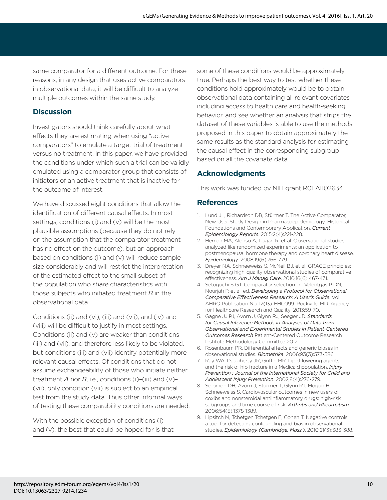same comparator for a different outcome. For these reasons, in any design that uses active comparators in observational data, it will be difficult to analyze multiple outcomes within the same study.

### **Discussion**

Investigators should think carefully about what effects they are estimating when using "active comparators" to emulate a target trial of treatment versus no treatment. In this paper, we have provided the conditions under which such a trial can be validly emulated using a comparator group that consists of initiators of an active treatment that is inactive for the outcome of interest.

We have discussed eight conditions that allow the identification of different causal effects. In most settings, conditions (i) and (v) will be the most plausible assumptions (because they do not rely on the assumption that the comparator treatment has no effect on the outcome), but an approach based on conditions (i) and (v) will reduce sample size considerably and will restrict the interpretation of the estimated effect to the small subset of the population who share characteristics with those subjects who initiated treatment *B* in the observational data.

Conditions (ii) and (vi), (iii) and (vii), and (iv) and (viii) will be difficult to justify in most settings. Conditions (ii) and (v) are weaker than conditions (iii) and (vii), and therefore less likely to be violated, but conditions (iii) and (vii) identify potentially more relevant causal effects. Of conditions that do not assume exchangeability of those who initiate neither treatment  $A$  nor  $B$ , i.e., conditions (i)-(iii) and (v)-(vii), only condition (vii) is subject to an empirical test from the study data. Thus other informal ways of testing these comparability conditions are needed.

With the possible exception of conditions (i) and (v), the best that could be hoped for is that

some of these conditions would be approximately true. Perhaps the best way to test whether these conditions hold approximately would be to obtain observational data containing all relevant covariates including access to health care and health-seeking behavior, and see whether an analysis that strips the dataset of these variables is able to use the methods proposed in this paper to obtain approximately the same results as the standard analysis for estimating the causal effect in the corresponding subgroup based on all the covariate data.

# **Acknowledgments**

This work was funded by NIH grant R01 AI102634.

### **References**

- 1. Lund JL, Richardson DB, Stürmer T. The Active Comparator, New User Study Design in Pharmacoepidemiology: Historical Foundations and Contemporary Application. *Current Epidemiology Reports*. 2015;2(4):221-228.
- 2. Hernan MA, Alonso A, Logan R, et al. Observational studies analyzed like randomized experiments: an application to postmenopausal hormone therapy and coronary heart disease. *Epidemiology*. 2008;19(6):766-779.
- 3. Dreyer NA, Schneeweiss S, McNeil BJ, et al. GRACE principles: recognizing high-quality observational studies of comparative effectiveness. *Am J Manag Care*. 2010;16(6):467-471.
- 4. Setoguchi S GT. Comparator selection. In: Velentgas P DN, Nourjah P, et al, ed. *Developing a Protocol for Observational Comparative Effectiveness Research: A User's Guide*. Vol AHRQ Publication No. 12(13)-EHC099. Rockville, MD: Agency for Healthcare Research and Quality; 2013:59-70.
- 5. Gagne JJ PJ, Avorn J, Glynn RJ, Seeger JD. *Standards for Causal Inference Methods in Analyses of Data from Observational and Experimental Studies in Patient-Centered Outcomes Research* Patient-Centered Outcome Research Institute Methodology Committee 2012.
- 6. Rosenbaum PR. Differential effects and generic biases in observational studies. *Biometrika*. 2006;93(3):573-586.
- 7. Ray WA, Daugherty JR, Griffin MR. Lipid-lowering agents and the risk of hip fracture in a Medicaid population. *Injury Prevention : Journal of the International Society for Child and Adolescent Injury Prevention*. 2002;8(4):276-279.
- 8. Solomon DH, Avorn J, Sturmer T, Glynn RJ, Mogun H, Schneeweiss S. Cardiovascular outcomes in new users of coxibs and nonsteroidal antiinflammatory drugs: high-risk subgroups and time course of risk. *Arthritis and Rheumatism*. 2006;54(5):1378-1389.
- 9. Lipsitch M, Tchetgen Tchetgen E, Cohen T. Negative controls: a tool for detecting confounding and bias in observational studies. *Epidemiology (Cambridge, Mass.)*. 2010;21(3):383-388.